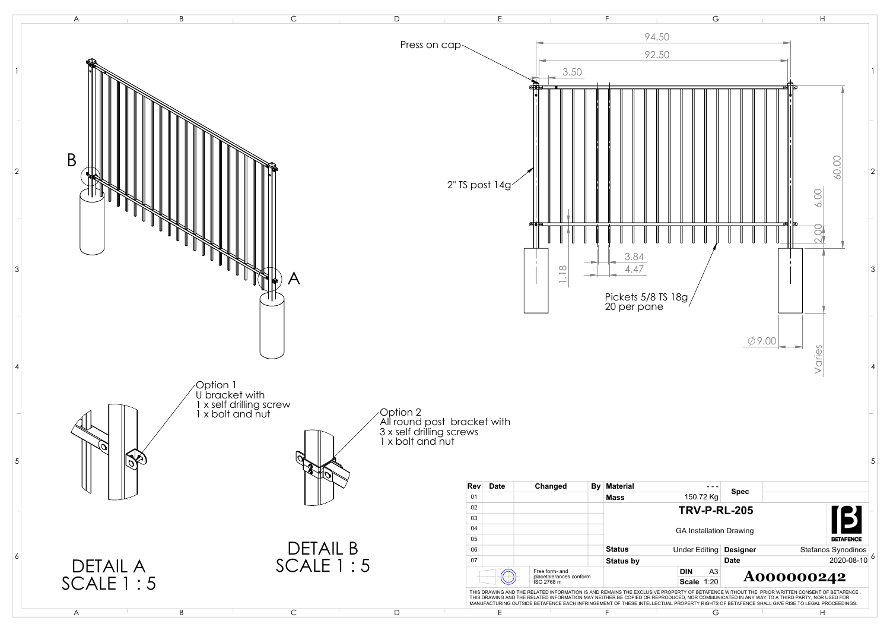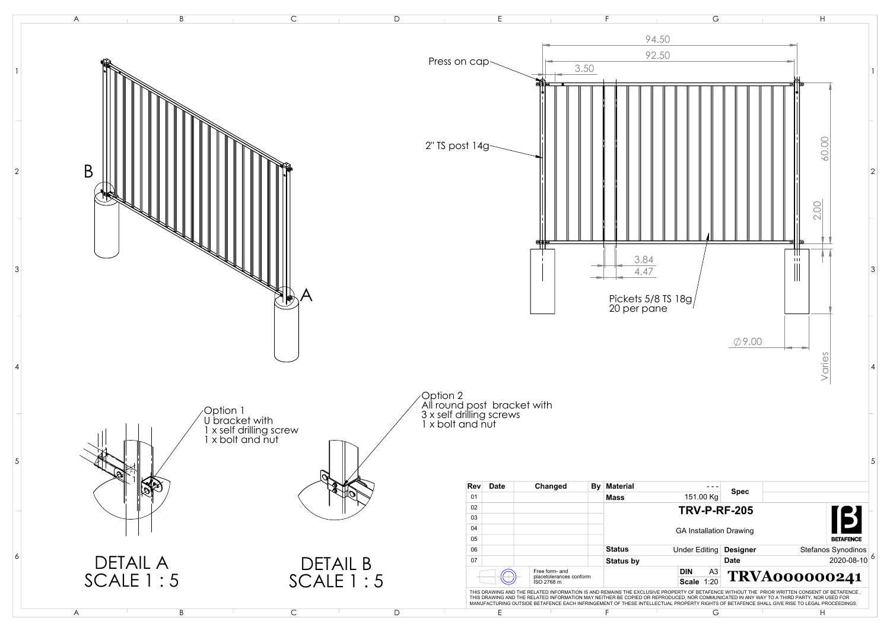